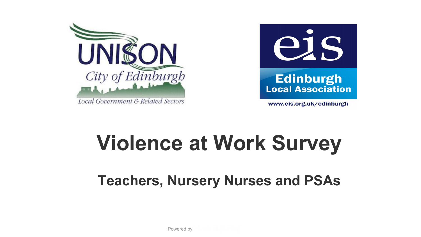



www.eis.org.uk/edinburgh

# **Violence at Work Survey**

# **Teachers, Nursery Nurses and PSAs**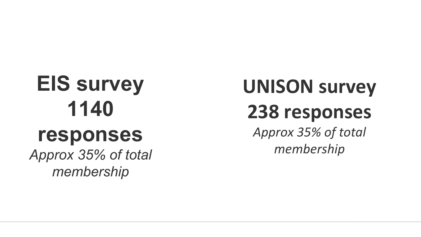# **EIS survey 1140 responses**

*Approx 35% of total membership*

# **UNISON survey 238 responses** *Approx 35% of total membership*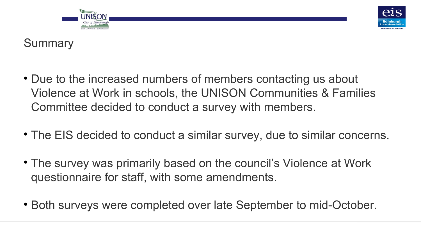



## **Summary**

- Due to the increased numbers of members contacting us about Violence at Work in schools, the UNISON Communities & Families Committee decided to conduct a survey with members.
- The EIS decided to conduct a similar survey, due to similar concerns.
- The survey was primarily based on the council's Violence at Work questionnaire for staff, with some amendments.
- Both surveys were completed over late September to mid-October.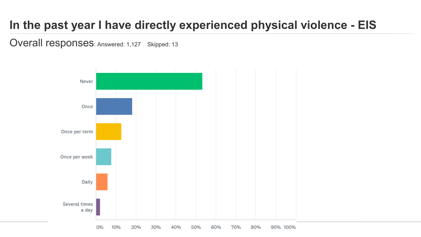# **In the past year I have directly experienced physical violence - EIS**

Overall responses: Answered: 1,127 Skipped: 13

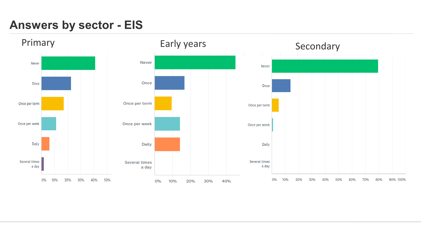## **Answers by sector - EIS**

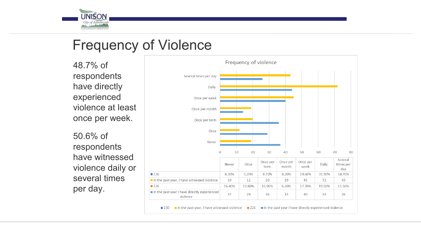

# Frequency of Violence

48.7% of respondents have directly experienced violence at least once per week.

50.6% of respondents have witnessed violence daily or several times per day.

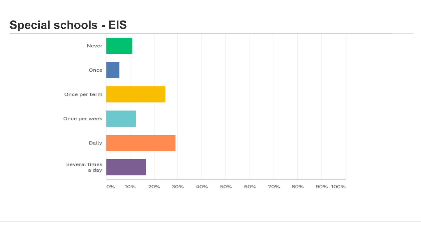## **Special schools - EIS**

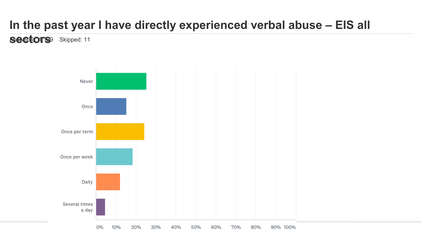# **In the past year I have directly experienced verbal abuse – EIS all**

**sectors** Skipped: 11

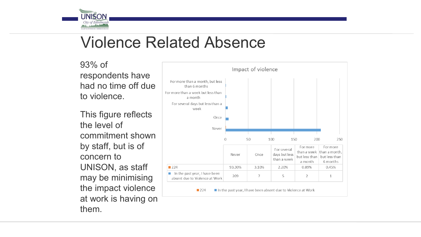

# Violence Related Absence

93% of respondents have had no time off due to violence.

This figure reflects the level of commitment shown by staff, but is of concern to UNISON, as staff may be minimising the impact violence at work is having on them.

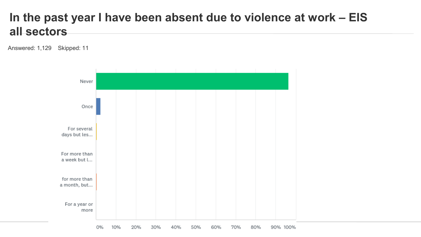#### **In the past year I have been absent due to violence at work – EIS all sectors**

Answered: 1,129 Skipped: 11

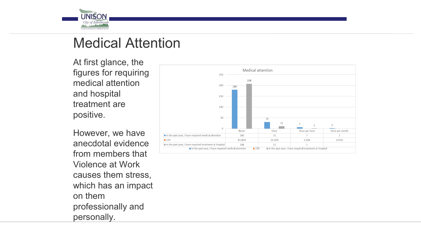

# Medical Attention

At first glance, the figures for requiring medical attention and hospital treatment are positive.

However, we have anecdotal evidence from members that Violence at Work causes them stress, which has an impact on them professionally and personally.

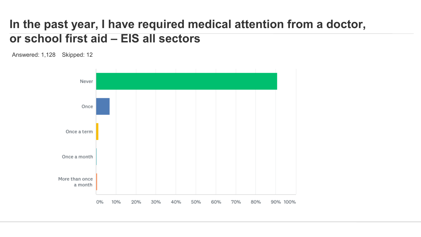#### **In the past year, I have required medical attention from a doctor, or school first aid – EIS all sectors**

Answered: 1,128 Skipped: 12

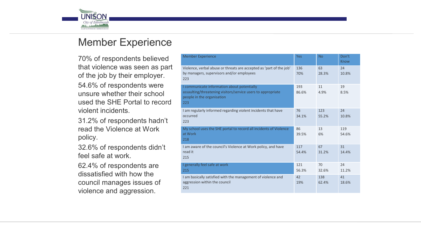

#### Member Experience

70% of respondents believed that violence was seen as part of the job by their employer. 54.6% of respondents were unsure whether their school used the SHE Portal to record violent incidents.

31.2% of respondents hadn't read the Violence at Work policy.

32.6% of respondents didn't feel safe at work.

62.4% of respondents are dissatisfied with how the council manages issues of violence and aggression.

| <b>Member Experience</b>                                                                                                                         | Yes          | <b>No</b>    | Don't<br>Know |
|--------------------------------------------------------------------------------------------------------------------------------------------------|--------------|--------------|---------------|
| Violence, verbal abuse or threats are accepted as 'part of the job'<br>by managers, supervisors and/or employees<br>223                          | 136<br>70%   | 63<br>28.3%  | 24<br>10.8%   |
| I communicate information about potentially<br>assaulting/threatening visitors/service users to appropriate<br>people in the organisation<br>223 | 193<br>86.6% | 11<br>4.9%   | 19<br>8.5%    |
| I am regularly informed regarding violent incidents that have<br>occurred<br>223                                                                 | 76<br>34.1%  | 123<br>55.2% | 24<br>10.8%   |
| My school uses the SHE portal to record all incidents of Violence<br>at Work<br>218                                                              | 86<br>39.5%  | 13<br>6%     | 119<br>54.6%  |
| I am aware of the council's Violence at Work policy, and have<br>read it<br>215                                                                  | 117<br>54.4% | 67<br>31.2%  | 31<br>14.4%   |
| I generally feel safe at work<br>215                                                                                                             | 121<br>56.3% | 70<br>32.6%  | 24<br>11.2%   |
| I am basically satisfied with the management of violence and<br>aggression within the council<br>221                                             | 42<br>19%    | 138<br>62.4% | 41<br>18.6%   |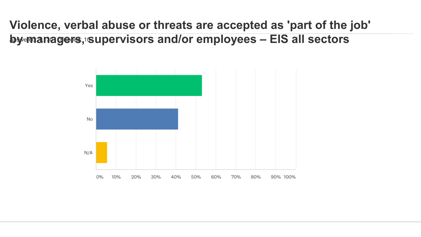**Violence, verbal abuse or threats are accepted as 'part of the job'**  by managers, supervisors and/or employees - EIS all sectors

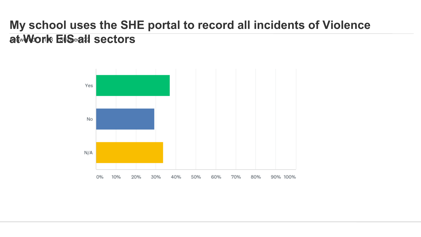# **My school uses the SHE portal to record all incidents of Violence at Work EIS all sectors**

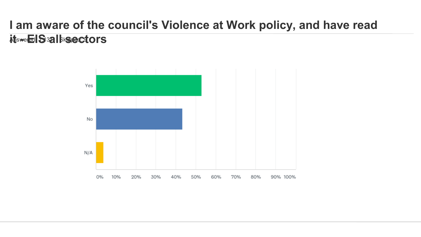## **I am aware of the council's Violence at Work policy, and have read itswered Sallissectors**

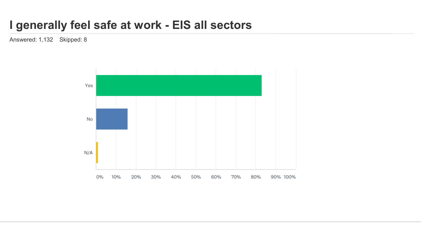#### **I generally feel safe at work - EIS all sectors**

Answered: 1,132 Skipped: 8

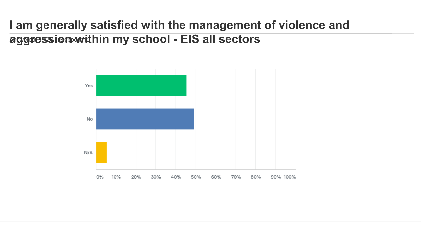### **I am generally satisfied with the management of violence and**  aggression within my school - EIS all sectors

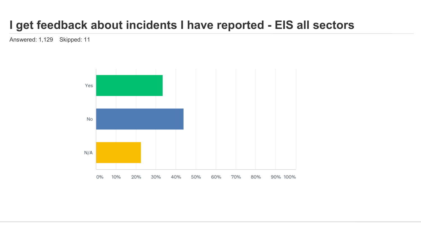# **I get feedback about incidents I have reported - EIS all sectors**

Answered: 1,129 Skipped: 11

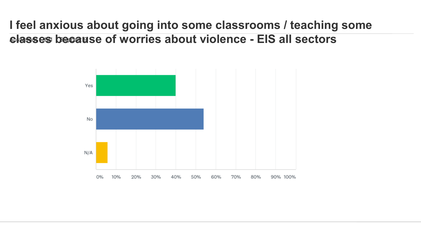**I feel anxious about going into some classrooms / teaching some classes because of worries about violence - EIS all sectors** 

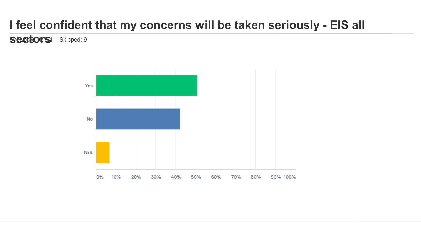# **I feel confident that my concerns will be taken seriously - EIS all**

**sectors**1 Skipped: 9

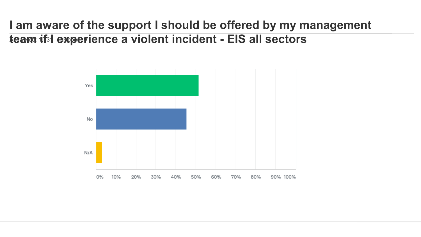#### **I am aware of the support I should be offered by my management team if I experience a violent incident - EIS all sectors**

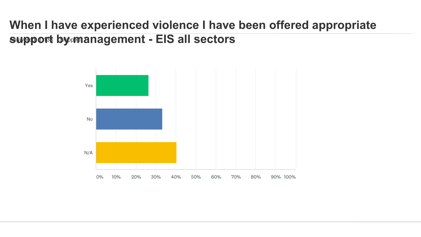## **When I have experienced violence I have been offered appropriate support by management - EIS all sectors**

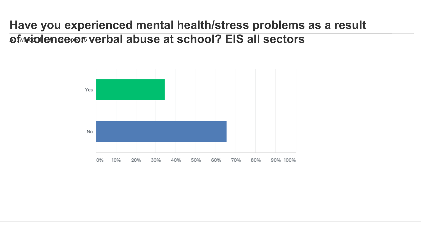#### **Have you experienced mental health/stress problems as a result of violence or verbal abuse at school? EIS all sectors**

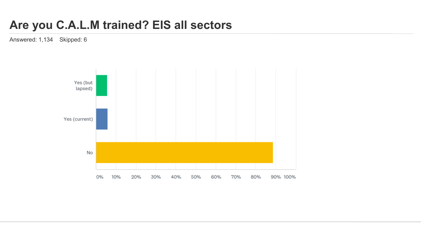### **Are you C.A.L.M trained? EIS all sectors**

Answered: 1,134 Skipped: 6

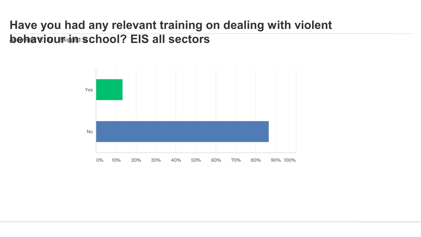## **Have you had any relevant training on dealing with violent behaviour in school? EIS all sectors**

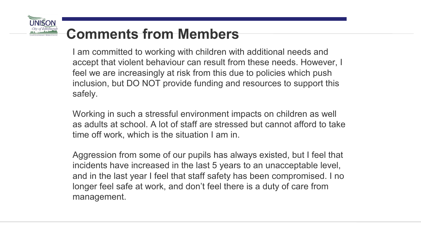# **Comments from Members**

I am committed to working with children with additional needs and accept that violent behaviour can result from these needs. However, I feel we are increasingly at risk from this due to policies which push inclusion, but DO NOT provide funding and resources to support this safely.

Working in such a stressful environment impacts on children as well as adults at school. A lot of staff are stressed but cannot afford to take time off work, which is the situation I am in.

Aggression from some of our pupils has always existed, but I feel that incidents have increased in the last 5 years to an unacceptable level, and in the last year I feel that staff safety has been compromised. I no longer feel safe at work, and don't feel there is a duty of care from management.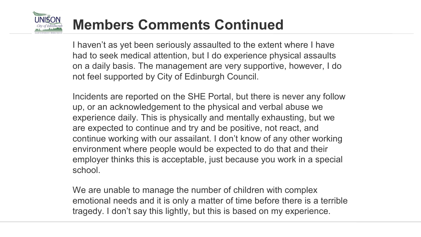

# **Members Comments Continued**

I haven't as yet been seriously assaulted to the extent where I have had to seek medical attention, but I do experience physical assaults on a daily basis. The management are very supportive, however, I do not feel supported by City of Edinburgh Council.

Incidents are reported on the SHE Portal, but there is never any follow up, or an acknowledgement to the physical and verbal abuse we experience daily. This is physically and mentally exhausting, but we are expected to continue and try and be positive, not react, and continue working with our assailant. I don't know of any other working environment where people would be expected to do that and their employer thinks this is acceptable, just because you work in a special school.

We are unable to manage the number of children with complex emotional needs and it is only a matter of time before there is a terrible tragedy. I don't say this lightly, but this is based on my experience.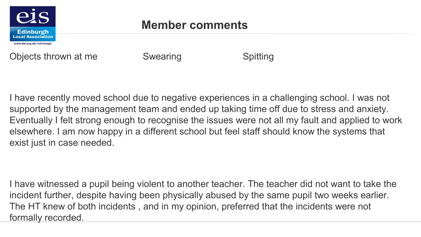

Objects thrown at me Swearing Superson Spitting

I have recently moved school due to negative experiences in a challenging school. I was not supported by the management team and ended up taking time off due to stress and anxiety. Eventually I felt strong enough to recognise the issues were not all my fault and applied to work elsewhere. I am now happy in a different school but feel staff should know the systems that exist just in case needed.

I have witnessed a pupil being violent to another teacher. The teacher did not want to take the incident further, despite having been physically abused by the same pupil two weeks earlier. The HT knew of both incidents , and in my opinion, preferred that the incidents were not formally recorded.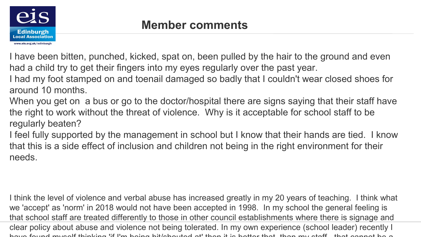

I have been bitten, punched, kicked, spat on, been pulled by the hair to the ground and even had a child try to get their fingers into my eyes regularly over the past year.

I had my foot stamped on and toenail damaged so badly that I couldn't wear closed shoes for around 10 months.

When you get on a bus or go to the doctor/hospital there are signs saying that their staff have the right to work without the threat of violence. Why is it acceptable for school staff to be regularly beaten?

I feel fully supported by the management in school but I know that their hands are tied. I know that this is a side effect of inclusion and children not being in the right environment for their needs.

I think the level of violence and verbal abuse has increased greatly in my 20 years of teaching. I think what we 'accept' as 'norm' in 2018 would not have been accepted in 1998. In my school the general feeling is that school staff are treated differently to those in other council establishments where there is signage and clear policy about abuse and violence not being tolerated. In my own experience (school leader) recently I have found myself thinking 'if I'm being hit/shouted at' then it is better that, than my staff - that cannot be a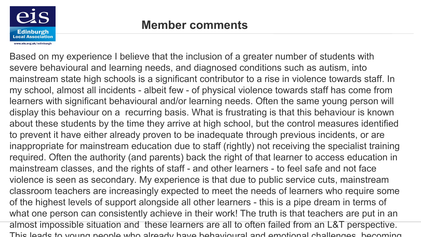

Based on my experience I believe that the inclusion of a greater number of students with severe behavioural and learning needs, and diagnosed conditions such as autism, into mainstream state high schools is a significant contributor to a rise in violence towards staff. In my school, almost all incidents - albeit few - of physical violence towards staff has come from learners with significant behavioural and/or learning needs. Often the same young person will display this behaviour on a recurring basis. What is frustrating is that this behaviour is known about these students by the time they arrive at high school, but the control measures identified to prevent it have either already proven to be inadequate through previous incidents, or are inappropriate for mainstream education due to staff (rightly) not receiving the specialist training required. Often the authority (and parents) back the right of that learner to access education in mainstream classes, and the rights of staff - and other learners - to feel safe and not face violence is seen as secondary. My experience is that due to public service cuts, mainstream classroom teachers are increasingly expected to meet the needs of learners who require some of the highest levels of support alongside all other learners - this is a pipe dream in terms of what one person can consistently achieve in their work! The truth is that teachers are put in an almost impossible situation and these learners are all to often failed from an L&T perspective. This leads to young people who already have behavioural and emotional challenges, becoming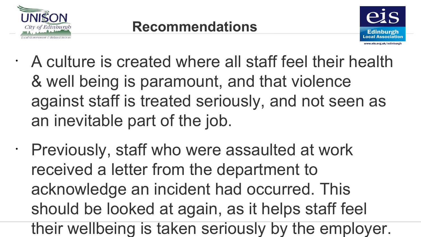



- A culture is created where all staff feel their health & well being is paramount, and that violence against staff is treated seriously, and not seen as an inevitable part of the job.
- Previously, staff who were assaulted at work received a letter from the department to acknowledge an incident had occurred. This should be looked at again, as it helps staff feel their wellbeing is taken seriously by the employer.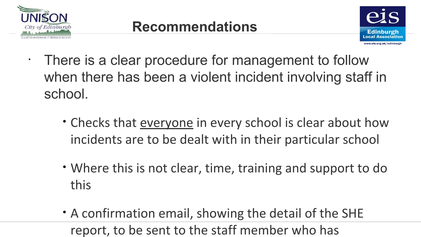



• There is a clear procedure for management to follow when there has been a violent incident involving staff in school.

- Checks that everyone in every school is clear about how incidents are to be dealt with in their particular school
- Where this is not clear, time, training and support to do this
- A confirmation email, showing the detail of the SHE report, to be sent to the staff member who has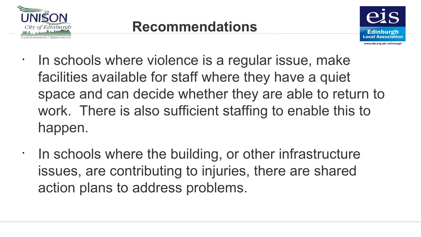

•

•



In schools where violence is a regular issue, make facilities available for staff where they have a quiet space and can decide whether they are able to return to work. There is also sufficient staffing to enable this to happen.

In schools where the building, or other infrastructure issues, are contributing to injuries, there are shared action plans to address problems.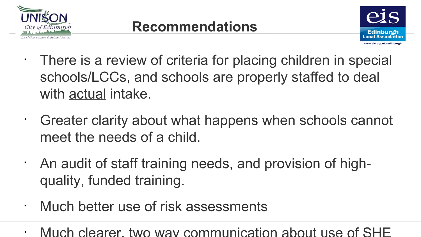



- There is a review of criteria for placing children in special schools/LCCs, and schools are properly staffed to deal with actual intake.
- Greater clarity about what happens when schools cannot meet the needs of a child.
- An audit of staff training needs, and provision of highquality, funded training.
- Much better use of risk assessments
- Much clearer, two way communication about use of SHE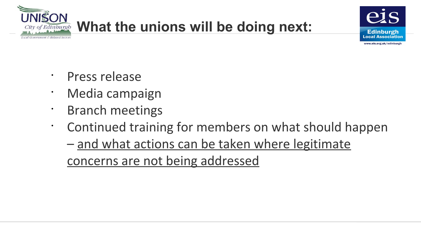



- Press release
- Media campaign
- Branch meetings
- Continued training for members on what should happen
	- and what actions can be taken where legitimate concerns are not being addressed